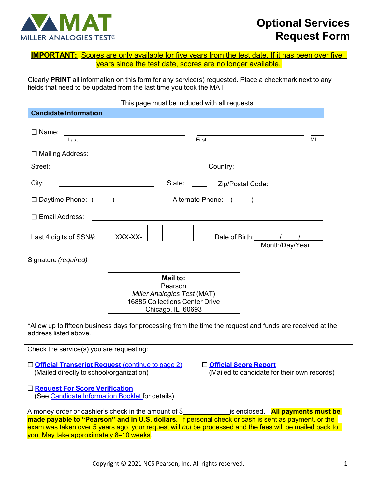

# **Optional Services Request Form**

|  |                                                            |  | <b>IMPORTANT:</b> Scores are only available for five years from the test date. If it has been over five |
|--|------------------------------------------------------------|--|---------------------------------------------------------------------------------------------------------|
|  | vears since the test date, scores are no longer available. |  |                                                                                                         |

Clearly **PRINT** all information on this form for any service(s) requested. Place a checkmark next to any fields that need to be updated from the last time you took the MAT.

## This page must be included with all requests.

| <b>Candidate Information</b>                                                                 |                                                                                                                                                                                                                                                                                                                              |  |  |  |  |
|----------------------------------------------------------------------------------------------|------------------------------------------------------------------------------------------------------------------------------------------------------------------------------------------------------------------------------------------------------------------------------------------------------------------------------|--|--|--|--|
| $\square$ Name:<br>Last                                                                      | <u> 1989 - Johann John Stone, markin f</u><br>First<br>MI                                                                                                                                                                                                                                                                    |  |  |  |  |
|                                                                                              |                                                                                                                                                                                                                                                                                                                              |  |  |  |  |
| $\Box$ Mailing Address:                                                                      |                                                                                                                                                                                                                                                                                                                              |  |  |  |  |
| Street:                                                                                      | Country:<br><u> 1980 - Johann Stein, mars an de Britannich (b. 1980)</u><br><u> 1980 - Jan Samuel Barbara, martxa eta politikaria (h. 1905).</u>                                                                                                                                                                             |  |  |  |  |
| City:                                                                                        | State: The State:<br>Zip/Postal Code: <u>____________</u>                                                                                                                                                                                                                                                                    |  |  |  |  |
|                                                                                              |                                                                                                                                                                                                                                                                                                                              |  |  |  |  |
| $\Box$ Email Address:                                                                        |                                                                                                                                                                                                                                                                                                                              |  |  |  |  |
| Last 4 digits of SSN#:                                                                       | Date of Birth: 1 / 1<br>XXX-XX-<br>Month/Day/Year                                                                                                                                                                                                                                                                            |  |  |  |  |
|                                                                                              | Signature (required) example and the state of the state of the state of the state of the state of the state of                                                                                                                                                                                                               |  |  |  |  |
|                                                                                              | Mail to:<br>Pearson<br>Miller Analogies Test (MAT)<br><b>16885 Collections Center Drive</b><br>Chicago, IL 60693<br>*Allow up to fifteen business days for processing from the time the request and funds are received at the                                                                                                |  |  |  |  |
| address listed above.                                                                        |                                                                                                                                                                                                                                                                                                                              |  |  |  |  |
| Check the service(s) you are requesting:                                                     |                                                                                                                                                                                                                                                                                                                              |  |  |  |  |
| Official Transcript Request (continue to page 2)<br>(Mailed directly to school/organization) | □ Official Score Report<br>(Mailed to candidate for their own records)                                                                                                                                                                                                                                                       |  |  |  |  |
| □ Request For Score Verification<br>(See Candidate Information Booklet for details)          |                                                                                                                                                                                                                                                                                                                              |  |  |  |  |
| you. May take approximately 8–10 weeks.                                                      | A money order or cashier's check in the amount of \$______________is enclosed. <b>All payments must be</b><br>made payable to "Pearson" and in U.S. dollars. If personal check or cash is sent as payment, or the<br>exam was taken over 5 years ago, your request will not be processed and the fees will be mailed back to |  |  |  |  |